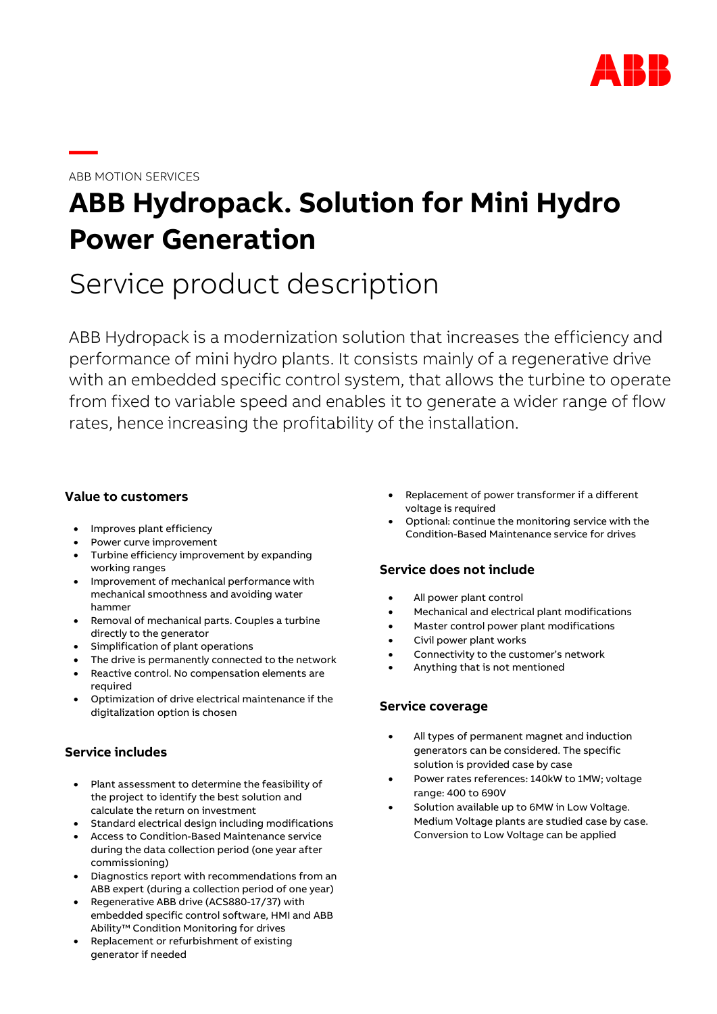

# ABB MOTION SERVICES

**—**

# **ABB Hydropack. Solution for Mini Hydro Power Generation**

# Service product description

ABB Hydropack is a modernization solution that increases the efficiency and performance of mini hydro plants. It consists mainly of a regenerative drive with an embedded specific control system, that allows the turbine to operate from fixed to variable speed and enables it to generate a wider range of flow rates, hence increasing the profitability of the installation.

# **Value to customers**

- Improves plant efficiency
- Power curve improvement
- Turbine efficiency improvement by expanding working ranges
- Improvement of mechanical performance with mechanical smoothness and avoiding water hammer
- Removal of mechanical parts. Couples a turbine directly to the generator
- Simplification of plant operations
- The drive is permanently connected to the network
- Reactive control. No compensation elements are required
- Optimization of drive electrical maintenance if the digitalization option is chosen

# **Service includes**

- Plant assessment to determine the feasibility of the project to identify the best solution and calculate the return on investment
- Standard electrical design including modifications
- Access to Condition-Based Maintenance service during the data collection period (one year after commissioning)
- Diagnostics report with recommendations from an ABB expert (during a collection period of one year)
- Regenerative ABB drive (ACS880-17/37) with embedded specific control software, HMI and ABB Ability™ Condition Monitoring for drives
- Replacement or refurbishment of existing generator if needed
- Replacement of power transformer if a different voltage is required
- Optional: continue the monitoring service with the Condition-Based Maintenance service for drives

# **Service does not include**

- All power plant control
- Mechanical and electrical plant modifications
- Master control power plant modifications
- Civil power plant works
- Connectivity to the customer's network
- Anything that is not mentioned

#### **Service coverage**

- All types of permanent magnet and induction generators can be considered. The specific solution is provided case by case
- Power rates references: 140kW to 1MW; voltage range: 400 to 690V
- Solution available up to 6MW in Low Voltage. Medium Voltage plants are studied case by case. Conversion to Low Voltage can be applied